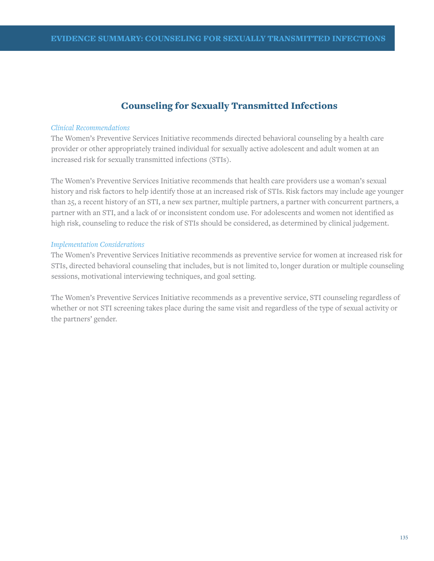## Counseling for Sexually Transmitted Infections

#### *Clinical Recommendations*

The Women's Preventive Services Initiative recommends directed behavioral counseling by a health care provider or other appropriately trained individual for sexually active adolescent and adult women at an increased risk for sexually transmitted infections (STIs).

The Women's Preventive Services Initiative recommends that health care providers use a woman's sexual history and risk factors to help identify those at an increased risk of STIs. Risk factors may include age younger than 25, a recent history of an STI, a new sex partner, multiple partners, a partner with concurrent partners, a partner with an STI, and a lack of or inconsistent condom use. For adolescents and women not identified as high risk, counseling to reduce the risk of STIs should be considered, as determined by clinical judgement.

#### *Implementation Considerations*

The Women's Preventive Services Initiative recommends as preventive service for women at increased risk for STIs, directed behavioral counseling that includes, but is not limited to, longer duration or multiple counseling sessions, motivational interviewing techniques, and goal setting.

The Women's Preventive Services Initiative recommends as a preventive service, STI counseling regardless of whether or not STI screening takes place during the same visit and regardless of the type of sexual activity or the partners' gender.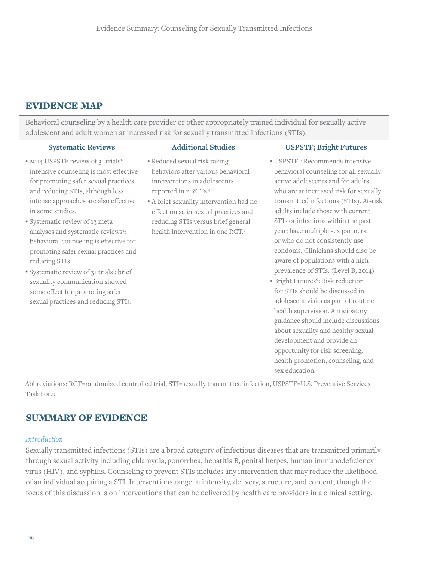#### EVIDENCE MAP

Behavioral counseling by a health care provider or other appropriately trained individual for sexually active adolescent and adult women at increased risk for sexually transmitted infections (STIs).

| <b>Systematic Reviews</b>                                                                                                                                                                                                                                                                                                                                                                                                                                                                                                                                                                         | <b>Additional Studies</b>                                                                                                                                                                                                                                                                 | <b>USPSTF; Bright Futures</b>                                                                                                                                                                                                                                                                                                                                                                                                                                                                                                                                                                                                                                                                                                                                                                                                                            |
|---------------------------------------------------------------------------------------------------------------------------------------------------------------------------------------------------------------------------------------------------------------------------------------------------------------------------------------------------------------------------------------------------------------------------------------------------------------------------------------------------------------------------------------------------------------------------------------------------|-------------------------------------------------------------------------------------------------------------------------------------------------------------------------------------------------------------------------------------------------------------------------------------------|----------------------------------------------------------------------------------------------------------------------------------------------------------------------------------------------------------------------------------------------------------------------------------------------------------------------------------------------------------------------------------------------------------------------------------------------------------------------------------------------------------------------------------------------------------------------------------------------------------------------------------------------------------------------------------------------------------------------------------------------------------------------------------------------------------------------------------------------------------|
| • 2014 USPSTF review of 31 trials <sup>1</sup> :<br>intensive counseling is most effective<br>for promoting safer sexual practices<br>and reducing STIs, although less<br>intense approaches are also effective<br>in some studies.<br>· Systematic review of 13 meta-<br>analyses and systematic reviews <sup>2</sup> :<br>behavioral counseling is effective for<br>promoting safer sexual practices and<br>reducing STIs.<br>· Systematic review of 31 trials <sup>3</sup> : brief<br>sexuality communication showed<br>some effect for promoting safer<br>sexual practices and reducing STIs. | • Reduced sexual risk taking<br>behaviors after various behavioral<br>interventions in adolescents<br>reported in 2 RCTs.4-6<br>• A brief sexuality intervention had no<br>effect on safer sexual practices and<br>reducing STIs versus brief general<br>health intervention in one RCT.7 | · USPSTF <sup>8</sup> : Recommends intensive<br>behavioral counseling for all sexually<br>active adolescents and for adults<br>who are at increased risk for sexually<br>transmitted infections (STIs). At-risk<br>adults include those with current<br>STIs or infections within the past<br>year; have multiple sex partners;<br>or who do not consistently use<br>condoms. Clinicians should also be<br>aware of populations with a high<br>prevalence of STIs. (Level B; 2014)<br>· Bright Futures <sup>9</sup> : Risk reduction<br>for STIs should be discussed in<br>adolescent visits as part of routine<br>health supervision. Anticipatory<br>guidance should include discussions<br>about sexuality and healthy sexual<br>development and provide an<br>opportunity for risk screening,<br>health promotion, counseling, and<br>sex education. |

Abbreviations: RCT=randomized controlled trial, STI=sexually transmitted infection, USPSTF=U.S. Preventive Services Task Force

### SUMMARY OF EVIDENCE

#### *Introduction*

Sexually transmitted infections (STIs) are a broad category of infectious diseases that are transmitted primarily through sexual activity including chlamydia, gonorrhea, hepatitis B, genital herpes, human immunodeficiency virus (HIV), and syphilis. Counseling to prevent STIs includes any intervention that may reduce the likelihood of an individual acquiring a STI. Interventions range in intensity, delivery, structure, and content, though the focus of this discussion is on interventions that can be delivered by health care providers in a clinical setting.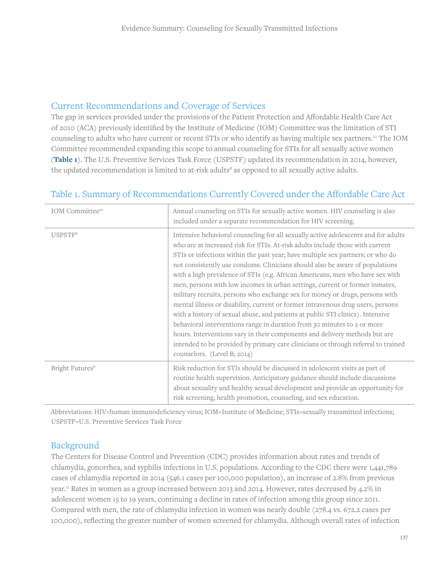#### Current Recommendations and Coverage of Services

The gap in services provided under the provisions of the Patient Protection and Affordable Health Care Act of 2010 (ACA) previously identified by the Institute of Medicine (IOM) Committee was the limitation of STI counseling to adults who have current or recent STIs or who identify as having multiple sex partners.10 The IOM Committee recommended expanding this scope to annual counseling for STIs for all sexually active women (**Table 1**). The U.S. Preventive Services Task Force (USPSTF) updated its recommendation in 2014, however, the updated recommendation is limited to at-risk adults<sup>8</sup> as opposed to all sexually active adults.

| IOM Committee <sup>10</sup> | Annual counseling on STIs for sexually active women. HIV counseling is also<br>included under a separate recommendation for HIV screening.                                                                                                                                                                                                                                                                                                                                                                                                                                                                                                                                                                                                                                                                                                                                                                                                                                                                                              |
|-----------------------------|-----------------------------------------------------------------------------------------------------------------------------------------------------------------------------------------------------------------------------------------------------------------------------------------------------------------------------------------------------------------------------------------------------------------------------------------------------------------------------------------------------------------------------------------------------------------------------------------------------------------------------------------------------------------------------------------------------------------------------------------------------------------------------------------------------------------------------------------------------------------------------------------------------------------------------------------------------------------------------------------------------------------------------------------|
| USPSTF <sup>8</sup>         | Intensive behavioral counseling for all sexually active adolescents and for adults<br>who are at increased risk for STIs. At-risk adults include those with current<br>STIs or infections within the past year; have multiple sex partners; or who do<br>not consistently use condoms. Clinicians should also be aware of populations<br>with a high prevalence of STIs (e.g. African Americans, men who have sex with<br>men, persons with low incomes in urban settings, current or former inmates,<br>military recruits, persons who exchange sex for money or drugs, persons with<br>mental illness or disability, current or former intravenous drug users, persons<br>with a history of sexual abuse, and patients at public STI clinics). Intensive<br>behavioral interventions range in duration from 30 minutes to 2 or more<br>hours. Interventions vary in their components and delivery methods but are<br>intended to be provided by primary care clinicians or through referral to trained<br>counselors. (Level B; 2014) |
| Bright Futures <sup>9</sup> | Risk reduction for STIs should be discussed in adolescent visits as part of<br>routine health supervision. Anticipatory guidance should include discussions<br>about sexuality and healthy sexual development and provide an opportunity for<br>risk screening, health promotion, counseling, and sex education.                                                                                                                                                                                                                                                                                                                                                                                                                                                                                                                                                                                                                                                                                                                        |

# Table 1. Summary of Recommendations Currently Covered under the Affordable Care Act

Abbreviations: HIV=human immunodeficiency virus; IOM=Institute of Medicine; STIs=sexually transmitted infections; USPSTF=U.S. Preventive Services Task Force

### Background

The Centers for Disease Control and Prevention (CDC) provides information about rates and trends of chlamydia, gonorrhea, and syphilis infections in U.S. populations. According to the CDC there were 1,441,789 cases of chlamydia reported in 2014 (546.1 cases per 100,000 population), an increase of 2.8% from previous year.11 Rates in women as a group increased between 2013 and 2014. However, rates decreased by 4.2% in adolescent women 15 to 19 years, continuing a decline in rates of infection among this group since 2011. Compared with men, the rate of chlamydia infection in women was nearly double (278.4 vs. 672.2 cases per 100,000), reflecting the greater number of women screened for chlamydia. Although overall rates of infection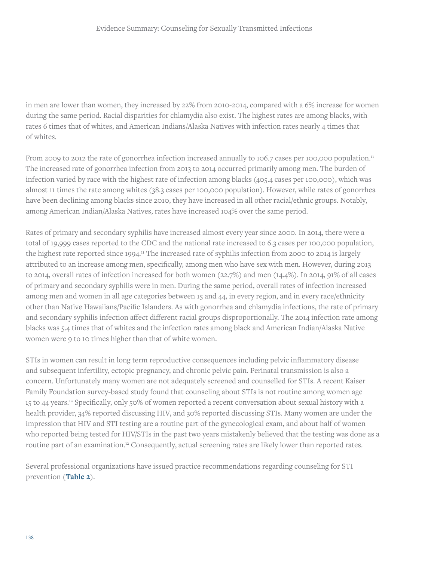in men are lower than women, they increased by 22% from 2010-2014, compared with a 6% increase for women during the same period. Racial disparities for chlamydia also exist. The highest rates are among blacks, with rates 6 times that of whites, and American Indians/Alaska Natives with infection rates nearly 4 times that of whites.

From 2009 to 2012 the rate of gonorrhea infection increased annually to 106.7 cases per 100,000 population.<sup>11</sup> The increased rate of gonorrhea infection from 2013 to 2014 occurred primarily among men. The burden of infection varied by race with the highest rate of infection among blacks (405.4 cases per 100,000), which was almost 11 times the rate among whites (38.3 cases per 100,000 population). However, while rates of gonorrhea have been declining among blacks since 2010, they have increased in all other racial/ethnic groups. Notably, among American Indian/Alaska Natives, rates have increased 104% over the same period.

Rates of primary and secondary syphilis have increased almost every year since 2000. In 2014, there were a total of 19,999 cases reported to the CDC and the national rate increased to 6.3 cases per 100,000 population, the highest rate reported since 1994.<sup>11</sup> The increased rate of syphilis infection from 2000 to 2014 is largely attributed to an increase among men, specifically, among men who have sex with men. However, during 2013 to 2014, overall rates of infection increased for both women (22.7%) and men (14.4%). In 2014, 91% of all cases of primary and secondary syphilis were in men. During the same period, overall rates of infection increased among men and women in all age categories between 15 and 44, in every region, and in every race/ethnicity other than Native Hawaiians/Pacific Islanders. As with gonorrhea and chlamydia infections, the rate of primary and secondary syphilis infection affect different racial groups disproportionally. The 2014 infection rate among blacks was 5.4 times that of whites and the infection rates among black and American Indian/Alaska Native women were 9 to 10 times higher than that of white women.

STIs in women can result in long term reproductive consequences including pelvic inflammatory disease and subsequent infertility, ectopic pregnancy, and chronic pelvic pain. Perinatal transmission is also a concern. Unfortunately many women are not adequately screened and counselled for STIs. A recent Kaiser Family Foundation survey-based study found that counseling about STIs is not routine among women age 15 to 44 years.12 Specifically, only 50% of women reported a recent conversation about sexual history with a health provider, 34% reported discussing HIV, and 30% reported discussing STIs. Many women are under the impression that HIV and STI testing are a routine part of the gynecological exam, and about half of women who reported being tested for HIV/STIs in the past two years mistakenly believed that the testing was done as a routine part of an examination.<sup>12</sup> Consequently, actual screening rates are likely lower than reported rates.

Several professional organizations have issued practice recommendations regarding counseling for STI prevention (**Table 2**).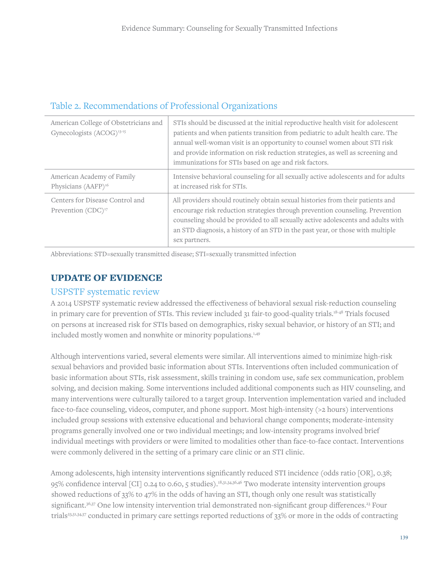| American College of Obstetricians and<br>Gynecologists (ACOG) <sup>13-15</sup> | STIs should be discussed at the initial reproductive health visit for adolescent<br>patients and when patients transition from pediatric to adult health care. The<br>annual well-woman visit is an opportunity to counsel women about STI risk<br>and provide information on risk reduction strategies, as well as screening and<br>immunizations for STIs based on age and risk factors. |
|--------------------------------------------------------------------------------|--------------------------------------------------------------------------------------------------------------------------------------------------------------------------------------------------------------------------------------------------------------------------------------------------------------------------------------------------------------------------------------------|
| American Academy of Family<br>Physicians (AAFP) <sup>16</sup>                  | Intensive behavioral counseling for all sexually active adolescents and for adults<br>at increased risk for STIs.                                                                                                                                                                                                                                                                          |
| Centers for Disease Control and<br>Prevention (CDC) <sup>17</sup>              | All providers should routinely obtain sexual histories from their patients and<br>encourage risk reduction strategies through prevention counseling. Prevention<br>counseling should be provided to all sexually active adolescents and adults with<br>an STD diagnosis, a history of an STD in the past year, or those with multiple<br>sex partners.                                     |

# Table 2. Recommendations of Professional Organizations

Abbreviations: STD=sexually transmitted disease; STI=sexually transmitted infection

## UPDATE OF EVIDENCE

#### USPSTF systematic review

A 2014 USPSTF systematic review addressed the effectiveness of behavioral sexual risk-reduction counseling in primary care for prevention of STIs. This review included 31 fair-to good-quality trials.18-48 Trials focused on persons at increased risk for STIs based on demographics, risky sexual behavior, or history of an STI; and included mostly women and nonwhite or minority populations.<sup>1,49</sup>

Although interventions varied, several elements were similar. All interventions aimed to minimize high-risk sexual behaviors and provided basic information about STIs. Interventions often included communication of basic information about STIs, risk assessment, skills training in condom use, safe sex communication, problem solving, and decision making. Some interventions included additional components such as HIV counseling, and many interventions were culturally tailored to a target group. Intervention implementation varied and included face-to-face counseling, videos, computer, and phone support. Most high-intensity (>2 hours) interventions included group sessions with extensive educational and behavioral change components; moderate-intensity programs generally involved one or two individual meetings; and low-intensity programs involved brief individual meetings with providers or were limited to modalities other than face-to-face contact. Interventions were commonly delivered in the setting of a primary care clinic or an STI clinic.

Among adolescents, high intensity interventions significantly reduced STI incidence (odds ratio [OR], 0.38; 95% confidence interval [CI] 0.24 to 0.60, 5 studies).18,31,34,36,46 Two moderate intensity intervention groups showed reductions of 33% to 47% in the odds of having an STI, though only one result was statistically significant.<sup>36,37</sup> One low intensity intervention trial demonstrated non-significant group differences.<sup>23</sup> Four trials23,31,34,37 conducted in primary care settings reported reductions of 33% or more in the odds of contracting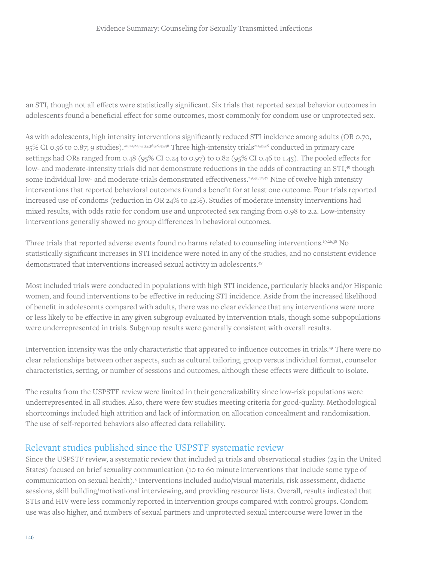an STI, though not all effects were statistically significant. Six trials that reported sexual behavior outcomes in adolescents found a beneficial effect for some outcomes, most commonly for condom use or unprotected sex.

As with adolescents, high intensity interventions significantly reduced STI incidence among adults (OR 0.70, 95% CI 0.56 to 0.87; 9 studies).20,21,24,25,35,36,38,45,46 Three high-intensity trials20,35,38 conducted in primary care settings had ORs ranged from 0.48 (95% CI 0.24 to 0.97) to 0.82 (95% CI 0.46 to 1.45). The pooled effects for low- and moderate-intensity trials did not demonstrate reductions in the odds of contracting an STI,<sup>49</sup> though some individual low- and moderate-trials demonstrated effectiveness.<sup>29,35,40,47</sup> Nine of twelve high intensity interventions that reported behavioral outcomes found a benefit for at least one outcome. Four trials reported increased use of condoms (reduction in OR 24% to 42%). Studies of moderate intensity interventions had mixed results, with odds ratio for condom use and unprotected sex ranging from 0.98 to 2.2. Low-intensity interventions generally showed no group differences in behavioral outcomes.

Three trials that reported adverse events found no harms related to counseling interventions.19,26,38 No statistically significant increases in STI incidence were noted in any of the studies, and no consistent evidence demonstrated that interventions increased sexual activity in adolescents.49

Most included trials were conducted in populations with high STI incidence, particularly blacks and/or Hispanic women, and found interventions to be effective in reducing STI incidence. Aside from the increased likelihood of benefit in adolescents compared with adults, there was no clear evidence that any interventions were more or less likely to be effective in any given subgroup evaluated by intervention trials, though some subpopulations were underrepresented in trials. Subgroup results were generally consistent with overall results.

Intervention intensity was the only characteristic that appeared to influence outcomes in trials.49 There were no clear relationships between other aspects, such as cultural tailoring, group versus individual format, counselor characteristics, setting, or number of sessions and outcomes, although these effects were difficult to isolate.

The results from the USPSTF review were limited in their generalizability since low-risk populations were underrepresented in all studies. Also, there were few studies meeting criteria for good-quality. Methodological shortcomings included high attrition and lack of information on allocation concealment and randomization. The use of self-reported behaviors also affected data reliability.

### Relevant studies published since the USPSTF systematic review

Since the USPSTF review, a systematic review that included 31 trials and observational studies (23 in the United States) focused on brief sexuality communication (10 to 60 minute interventions that include some type of communication on sexual health).<sup>3</sup> Interventions included audio/visual materials, risk assessment, didactic sessions, skill building/motivational interviewing, and providing resource lists. Overall, results indicated that STIs and HIV were less commonly reported in intervention groups compared with control groups. Condom use was also higher, and numbers of sexual partners and unprotected sexual intercourse were lower in the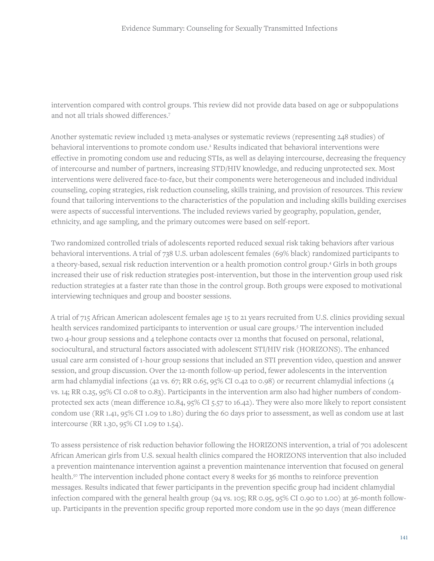intervention compared with control groups. This review did not provide data based on age or subpopulations and not all trials showed differences.7

Another systematic review included 13 meta-analyses or systematic reviews (representing 248 studies) of behavioral interventions to promote condom use.<sup>2</sup> Results indicated that behavioral interventions were effective in promoting condom use and reducing STIs, as well as delaying intercourse, decreasing the frequency of intercourse and number of partners, increasing STD/HIV knowledge, and reducing unprotected sex. Most interventions were delivered face-to-face, but their components were heterogeneous and included individual counseling, coping strategies, risk reduction counseling, skills training, and provision of resources. This review found that tailoring interventions to the characteristics of the population and including skills building exercises were aspects of successful interventions. The included reviews varied by geography, population, gender, ethnicity, and age sampling, and the primary outcomes were based on self-report.

Two randomized controlled trials of adolescents reported reduced sexual risk taking behaviors after various behavioral interventions. A trial of 738 U.S. urban adolescent females (69% black) randomized participants to a theory-based, sexual risk reduction intervention or a health promotion control group.4 Girls in both groups increased their use of risk reduction strategies post-intervention, but those in the intervention group used risk reduction strategies at a faster rate than those in the control group. Both groups were exposed to motivational interviewing techniques and group and booster sessions.

A trial of 715 African American adolescent females age 15 to 21 years recruited from U.S. clinics providing sexual health services randomized participants to intervention or usual care groups.5 The intervention included two 4-hour group sessions and 4 telephone contacts over 12 months that focused on personal, relational, sociocultural, and structural factors associated with adolescent STI/HIV risk (HORIZONS). The enhanced usual care arm consisted of 1-hour group sessions that included an STI prevention video, question and answer session, and group discussion. Over the 12-month follow-up period, fewer adolescents in the intervention arm had chlamydial infections (42 vs. 67; RR 0.65, 95% CI 0.42 to 0.98) or recurrent chlamydial infections (4 vs. 14; RR 0.25, 95% CI 0.08 to 0.83). Participants in the intervention arm also had higher numbers of condomprotected sex acts (mean difference 10.84, 95% CI 5.57 to 16.42). They were also more likely to report consistent condom use (RR 1.41, 95% CI 1.09 to 1.80) during the 60 days prior to assessment, as well as condom use at last intercourse (RR 1.30, 95% CI 1.09 to 1.54).

To assess persistence of risk reduction behavior following the HORIZONS intervention, a trial of 701 adolescent African American girls from U.S. sexual health clinics compared the HORIZONS intervention that also included a prevention maintenance intervention against a prevention maintenance intervention that focused on general health.50 The intervention included phone contact every 8 weeks for 36 months to reinforce prevention messages. Results indicated that fewer participants in the prevention specific group had incident chlamydial infection compared with the general health group (94 vs. 105; RR 0.95, 95% CI 0.90 to 1.00) at 36-month followup. Participants in the prevention specific group reported more condom use in the 90 days (mean difference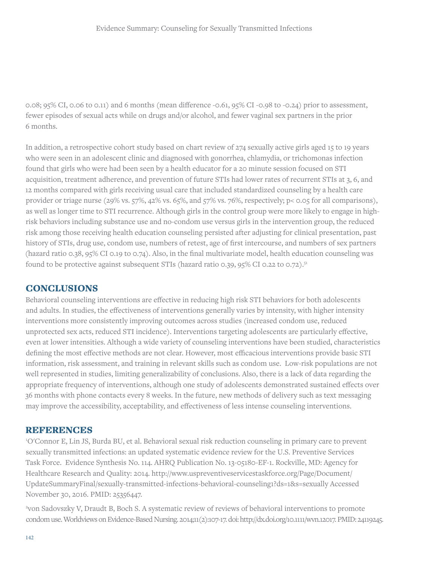0.08; 95% CI, 0.06 to 0.11) and 6 months (mean difference -0.61, 95% CI -0.98 to -0.24) prior to assessment, fewer episodes of sexual acts while on drugs and/or alcohol, and fewer vaginal sex partners in the prior 6 months.

In addition, a retrospective cohort study based on chart review of 274 sexually active girls aged 15 to 19 years who were seen in an adolescent clinic and diagnosed with gonorrhea, chlamydia, or trichomonas infection found that girls who were had been seen by a health educator for a 20 minute session focused on STI acquisition, treatment adherence, and prevention of future STIs had lower rates of recurrent STIs at 3, 6, and 12 months compared with girls receiving usual care that included standardized counseling by a health care provider or triage nurse (29% vs. 57%, 42% vs. 65%, and 57% vs. 76%, respectively; p< 0.05 for all comparisons), as well as longer time to STI recurrence. Although girls in the control group were more likely to engage in highrisk behaviors including substance use and no-condom use versus girls in the intervention group, the reduced risk among those receiving health education counseling persisted after adjusting for clinical presentation, past history of STIs, drug use, condom use, numbers of retest, age of first intercourse, and numbers of sex partners (hazard ratio 0.38, 95% CI 0.19 to 0.74). Also, in the final multivariate model, health education counseling was found to be protective against subsequent STIs (hazard ratio 0.39, 95% CI 0.22 to 0.72).51

#### **CONCLUSIONS**

Behavioral counseling interventions are effective in reducing high risk STI behaviors for both adolescents and adults. In studies, the effectiveness of interventions generally varies by intensity, with higher intensity interventions more consistently improving outcomes across studies (increased condom use, reduced unprotected sex acts, reduced STI incidence). Interventions targeting adolescents are particularly effective, even at lower intensities. Although a wide variety of counseling interventions have been studied, characteristics defining the most effective methods are not clear. However, most efficacious interventions provide basic STI information, risk assessment, and training in relevant skills such as condom use. Low-risk populations are not well represented in studies, limiting generalizability of conclusions. Also, there is a lack of data regarding the appropriate frequency of interventions, although one study of adolescents demonstrated sustained effects over 36 months with phone contacts every 8 weeks. In the future, new methods of delivery such as text messaging may improve the accessibility, acceptability, and effectiveness of less intense counseling interventions.

#### REFERENCES

1 O'Connor E, Lin JS, Burda BU, et al. Behavioral sexual risk reduction counseling in primary care to prevent sexually transmitted infections: an updated systematic evidence review for the U.S. Preventive Services Task Force. Evidence Synthesis No. 114. AHRQ Publication No. 13-05180-EF-1. Rockville, MD: Agency for Healthcare Research and Quality: 2014. http://www.uspreventiveservicestaskforce.org/Page/Document/ UpdateSummaryFinal/sexually-transmitted-infections-behavioral-counseling1?ds=1&s=sexually Accessed November 30, 2016. PMID: 25356447.

2 von Sadovszky V, Draudt B, Boch S. A systematic review of reviews of behavioral interventions to promote condom use. Worldviews on Evidence-Based Nursing. 2014;11(2):107-17. doi: http://dx.doi.org/10.1111/wvn.12017. PMID: 24119245.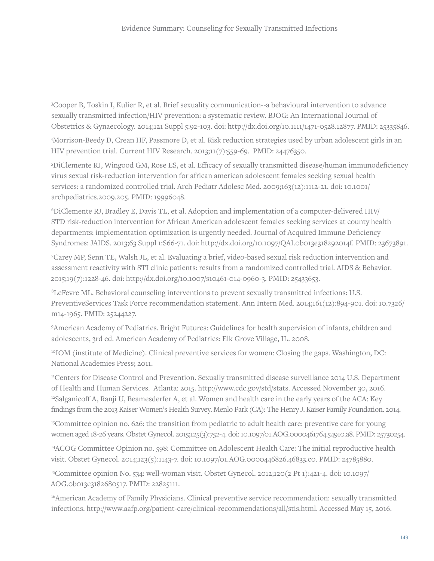3 Cooper B, Toskin I, Kulier R, et al. Brief sexuality communication--a behavioural intervention to advance sexually transmitted infection/HIV prevention: a systematic review. BJOG: An International Journal of Obstetrics & Gynaecology. 2014;121 Suppl 5:92-103. doi: http://dx.doi.org/10.1111/1471-0528.12877. PMID: 25335846.

4 Morrison-Beedy D, Crean HF, Passmore D, et al. Risk reduction strategies used by urban adolescent girls in an HIV prevention trial. Current HIV Research. 2013;11(7):559-69. PMID: 24476350.

5 DiClemente RJ, Wingood GM, Rose ES, et al. Efficacy of sexually transmitted disease/human immunodeficiency virus sexual risk-reduction intervention for african american adolescent females seeking sexual health services: a randomized controlled trial. Arch Pediatr Adolesc Med. 2009;163(12):1112-21. doi: 10.1001/ archpediatrics.2009.205. PMID: 19996048.

6 DiClemente RJ, Bradley E, Davis TL, et al. Adoption and implementation of a computer-delivered HIV/ STD risk-reduction intervention for African American adolescent females seeking services at county health departments: implementation optimization is urgently needed. Journal of Acquired Immune Deficiency Syndromes: JAIDS. 2013;63 Suppl 1:S66-71. doi: http://dx.doi.org/10.1097/QAI.0b013e318292014f. PMID: 23673891.

7 Carey MP, Senn TE, Walsh JL, et al. Evaluating a brief, video-based sexual risk reduction intervention and assessment reactivity with STI clinic patients: results from a randomized controlled trial. AIDS & Behavior. 2015;19(7):1228-46. doi: http://dx.doi.org/10.1007/s10461-014-0960-3. PMID: 25433653.

8 LeFevre ML. Behavioral counseling interventions to prevent sexually transmitted infections: U.S. PreventiveServices Task Force recommendation statement. Ann Intern Med. 2014;161(12):894-901. doi: 10.7326/ m14-1965. PMID: 25244227.

9 American Academy of Pediatrics. Bright Futures: Guidelines for health supervision of infants, children and adolescents, 3rd ed. American Academy of Pediatrics: Elk Grove Village, IL. 2008.

<sup>10</sup>IOM (institute of Medicine). Clinical preventive services for women: Closing the gaps. Washington, DC: National Academies Press; 2011.

<sup>11</sup>Centers for Disease Control and Prevention. Sexually transmitted disease surveillance 2014 U.S. Department of Health and Human Services. Atlanta: 2015. http://www.cdc.gov/std/stats. Accessed November 30, 2016. <sup>12</sup>Salganicoff A, Ranji U, Beamesderfer A, et al. Women and health care in the early years of the ACA: Key findings from the 2013 Kaiser Women's Health Survey. Menlo Park (CA): The Henry J. Kaiser Family Foundation. 2014.

<sup>13</sup>Committee opinion no. 626: the transition from pediatric to adult health care: preventive care for young women aged 18-26 years. Obstet Gynecol. 2015;125(3):752-4. doi: 10.1097/01.AOG.0000461764.54910.a8. PMID: 25730254.

14ACOG Committee Opinion no. 598: Committee on Adolescent Health Care: The initial reproductive health visit. Obstet Gynecol. 2014;123(5):1143-7. doi: 10.1097/01.AOG.0000446826.46833.c0. PMID: 24785880.

15Committee opinion No. 534: well-woman visit. Obstet Gynecol. 2012;120(2 Pt 1):421-4. doi: 10.1097/ AOG.0b013e3182680517. PMID: 22825111.

16American Academy of Family Physicians. Clinical preventive service recommendation: sexually transmitted infections. http://www.aafp.org/patient-care/clinical-recommendations/all/stis.html. Accessed May 15, 2016.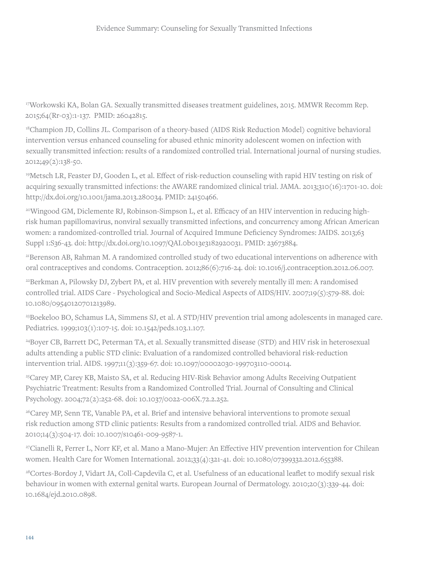17Workowski KA, Bolan GA. Sexually transmitted diseases treatment guidelines, 2015. MMWR Recomm Rep. 2015;64(Rr-03):1-137. PMID: 26042815.

<sup>18</sup>Champion JD, Collins JL. Comparison of a theory-based (AIDS Risk Reduction Model) cognitive behavioral intervention versus enhanced counseling for abused ethnic minority adolescent women on infection with sexually transmitted infection: results of a randomized controlled trial. International journal of nursing studies. 2012;49(2):138-50.

19Metsch LR, Feaster DJ, Gooden L, et al. Effect of risk-reduction counseling with rapid HIV testing on risk of acquiring sexually transmitted infections: the AWARE randomized clinical trial. JAMA. 2013;310(16):1701-10. doi: http://dx.doi.org/10.1001/jama.2013.280034. PMID: 24150466.

20Wingood GM, Diclemente RJ, Robinson-Simpson L, et al. Efficacy of an HIV intervention in reducing highrisk human papillomavirus, nonviral sexually transmitted infections, and concurrency among African American women: a randomized-controlled trial. Journal of Acquired Immune Deficiency Syndromes: JAIDS. 2013;63 Suppl 1:S36-43. doi: http://dx.doi.org/10.1097/QAI.0b013e3182920031. PMID: 23673884.

21Berenson AB, Rahman M. A randomized controlled study of two educational interventions on adherence with oral contraceptives and condoms. Contraception. 2012;86(6):716-24. doi: 10.1016/j.contraception.2012.06.007.

22Berkman A, Pilowsky DJ, Zybert PA, et al. HIV prevention with severely mentally ill men: A randomised controlled trial. AIDS Care - Psychological and Socio-Medical Aspects of AIDS/HIV. 2007;19(5):579-88. doi: 10.1080/09540120701213989.

23Boekeloo BO, Schamus LA, Simmens SJ, et al. A STD/HIV prevention trial among adolescents in managed care. Pediatrics. 1999;103(1):107-15. doi: 10.1542/peds.103.1.107.

24Boyer CB, Barrett DC, Peterman TA, et al. Sexually transmitted disease (STD) and HIV risk in heterosexual adults attending a public STD clinic: Evaluation of a randomized controlled behavioral risk-reduction intervention trial. AIDS. 1997;11(3):359-67. doi: 10.1097/00002030-199703110-00014.

<sup>25</sup>Carey MP, Carey KB, Maisto SA, et al. Reducing HIV-Risk Behavior among Adults Receiving Outpatient Psychiatric Treatment: Results from a Randomized Controlled Trial. Journal of Consulting and Clinical Psychology. 2004;72(2):252-68. doi: 10.1037/0022-006X.72.2.252.

26Carey MP, Senn TE, Vanable PA, et al. Brief and intensive behavioral interventions to promote sexual risk reduction among STD clinic patients: Results from a randomized controlled trial. AIDS and Behavior. 2010;14(3):504-17. doi: 10.1007/s10461-009-9587-1.

27Cianelli R, Ferrer L, Norr KF, et al. Mano a Mano-Mujer: An Effective HIV prevention intervention for Chilean women. Health Care for Women International. 2012;33(4):321-41. doi: 10.1080/07399332.2012.655388.

<sup>28</sup>Cortes-Bordoy J, Vidart JA, Coll-Capdevila C, et al. Usefulness of an educational leaflet to modify sexual risk behaviour in women with external genital warts. European Journal of Dermatology. 2010;20(3):339-44. doi: 10.1684/ejd.2010.0898.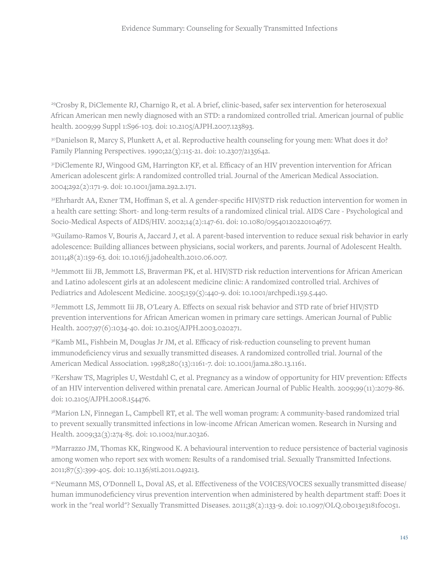<sup>29</sup>Crosby R, DiClemente RJ, Charnigo R, et al. A brief, clinic-based, safer sex intervention for heterosexual African American men newly diagnosed with an STD: a randomized controlled trial. American journal of public health. 2009;99 Suppl 1:S96-103. doi: 10.2105/AJPH.2007.123893.

<sup>30</sup>Danielson R, Marcy S, Plunkett A, et al. Reproductive health counseling for young men: What does it do? Family Planning Perspectives. 1990;22(3):115-21. doi: 10.2307/2135642.

<sup>31</sup>DiClemente RJ, Wingood GM, Harrington KF, et al. Efficacy of an HIV prevention intervention for African American adolescent girls: A randomized controlled trial. Journal of the American Medical Association. 2004;292(2):171-9. doi: 10.1001/jama.292.2.171.

32Ehrhardt AA, Exner TM, Hoffman S, et al. A gender-specific HIV/STD risk reduction intervention for women in a health care setting: Short- and long-term results of a randomized clinical trial. AIDS Care - Psychological and Socio-Medical Aspects of AIDS/HIV. 2002;14(2):147-61. doi: 10.1080/09540120220104677.

33Guilamo-Ramos V, Bouris A, Jaccard J, et al. A parent-based intervention to reduce sexual risk behavior in early adolescence: Building alliances between physicians, social workers, and parents. Journal of Adolescent Health. 2011;48(2):159-63. doi: 10.1016/j.jadohealth.2010.06.007.

34Jemmott Iii JB, Jemmott LS, Braverman PK, et al. HIV/STD risk reduction interventions for African American and Latino adolescent girls at an adolescent medicine clinic: A randomized controlled trial. Archives of Pediatrics and Adolescent Medicine. 2005;159(5):440-9. doi: 10.1001/archpedi.159.5.440.

35Jemmott LS, Jemmott Iii JB, O'Leary A. Effects on sexual risk behavior and STD rate of brief HIV/STD prevention interventions for African American women in primary care settings. American Journal of Public Health. 2007;97(6):1034-40. doi: 10.2105/AJPH.2003.020271.

<sup>36</sup>Kamb ML, Fishbein M, Douglas Jr JM, et al. Efficacy of risk-reduction counseling to prevent human immunodeficiency virus and sexually transmitted diseases. A randomized controlled trial. Journal of the American Medical Association. 1998;280(13):1161-7. doi: 10.1001/jama.280.13.1161.

37Kershaw TS, Magriples U, Westdahl C, et al. Pregnancy as a window of opportunity for HIV prevention: Effects of an HIV intervention delivered within prenatal care. American Journal of Public Health. 2009;99(11):2079-86. doi: 10.2105/AJPH.2008.154476.

38Marion LN, Finnegan L, Campbell RT, et al. The well woman program: A community-based randomized trial to prevent sexually transmitted infections in low-income African American women. Research in Nursing and Health. 2009;32(3):274-85. doi: 10.1002/nur.20326.

39Marrazzo JM, Thomas KK, Ringwood K. A behavioural intervention to reduce persistence of bacterial vaginosis among women who report sex with women: Results of a randomised trial. Sexually Transmitted Infections. 2011;87(5):399-405. doi: 10.1136/sti.2011.049213.

40Neumann MS, O'Donnell L, Doval AS, et al. Effectiveness of the VOICES/VOCES sexually transmitted disease/ human immunodeficiency virus prevention intervention when administered by health department staff: Does it work in the "real world"? Sexually Transmitted Diseases. 2011;38(2):133-9. doi: 10.1097/OLQ.0b013e3181f0c051.